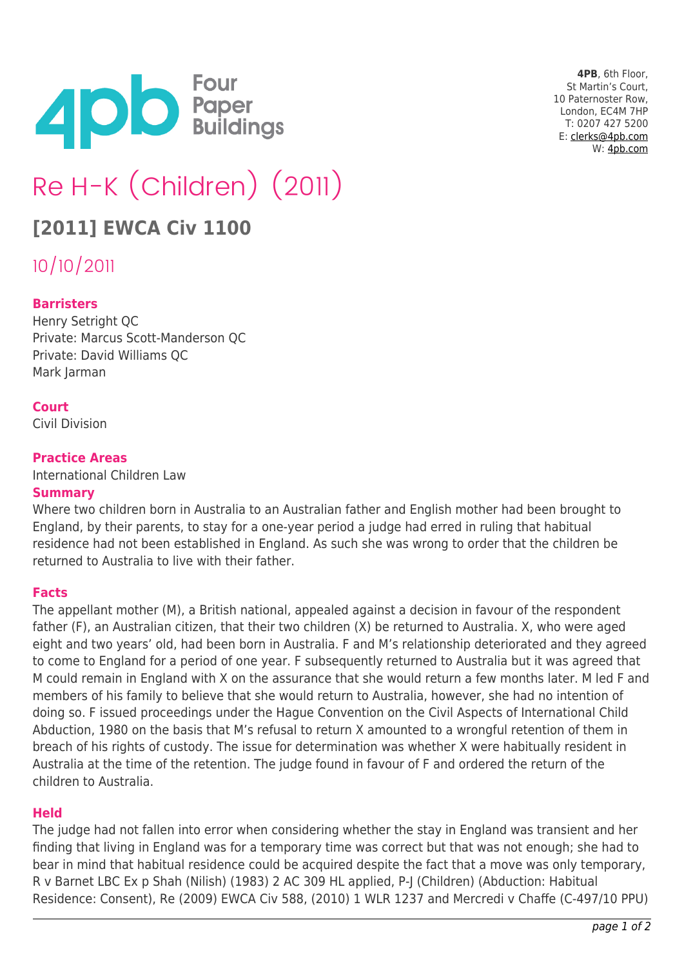

**4PB**, 6th Floor, St Martin's Court, 10 Paternoster Row, London, EC4M 7HP T: 0207 427 5200 E: [clerks@4pb.com](mailto:clerks@4pb.com) W: [4pb.com](http://4pb.com)

# Re H-K (Children) (2011)

# **[2011] EWCA Civ 1100**

10/10/2011

# **Barristers**

Henry Setright QC Private: Marcus Scott-Manderson QC Private: David Williams QC Mark Jarman

# **Court**

Civil Division

# **Practice Areas**

International Children Law

#### **Summary**

Where two children born in Australia to an Australian father and English mother had been brought to England, by their parents, to stay for a one-year period a judge had erred in ruling that habitual residence had not been established in England. As such she was wrong to order that the children be returned to Australia to live with their father.

#### **Facts**

The appellant mother (M), a British national, appealed against a decision in favour of the respondent father (F), an Australian citizen, that their two children (X) be returned to Australia. X, who were aged eight and two years' old, had been born in Australia. F and M's relationship deteriorated and they agreed to come to England for a period of one year. F subsequently returned to Australia but it was agreed that M could remain in England with X on the assurance that she would return a few months later. M led F and members of his family to believe that she would return to Australia, however, she had no intention of doing so. F issued proceedings under the Hague Convention on the Civil Aspects of International Child Abduction, 1980 on the basis that M's refusal to return X amounted to a wrongful retention of them in breach of his rights of custody. The issue for determination was whether X were habitually resident in Australia at the time of the retention. The judge found in favour of F and ordered the return of the children to Australia.

#### **Held**

The judge had not fallen into error when considering whether the stay in England was transient and her finding that living in England was for a temporary time was correct but that was not enough; she had to bear in mind that habitual residence could be acquired despite the fact that a move was only temporary, R v Barnet LBC Ex p Shah (Nilish) (1983) 2 AC 309 HL applied, P-J (Children) (Abduction: Habitual Residence: Consent), Re (2009) EWCA Civ 588, (2010) 1 WLR 1237 and Mercredi v Chaffe (C-497/10 PPU)